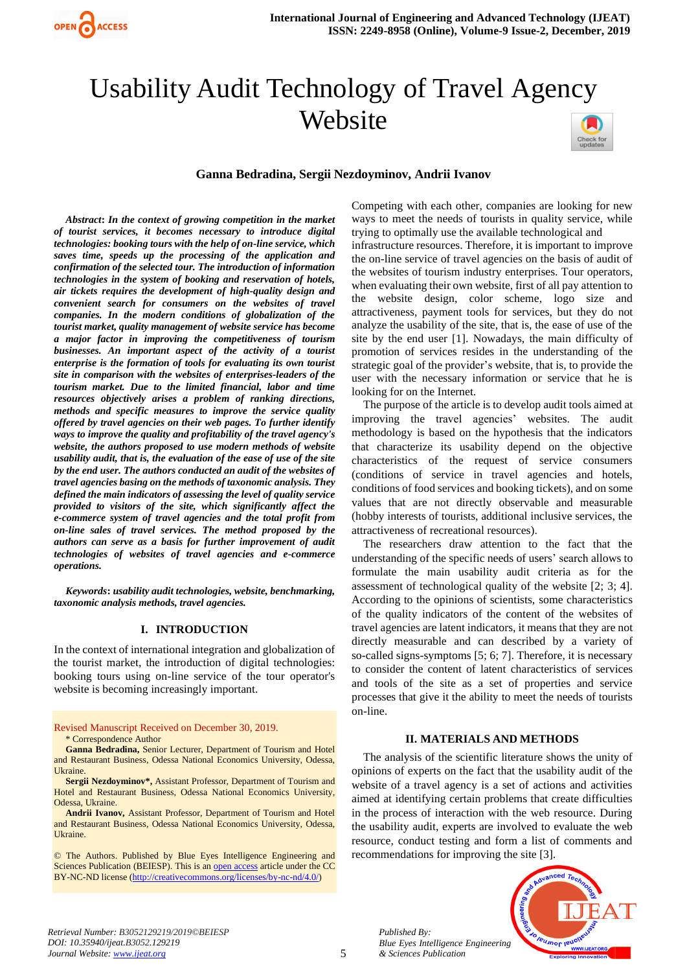

# Usability Audit Technology of Travel Agency Website



## **Ganna Bedradina, Sergii Nezdoyminov, Andrii Ivanov**

*Abstract***:** *In the context of growing competition in the market of tourist services, it becomes necessary to introduce digital technologies: booking tours with the help of on-line service, which saves time, speeds up the processing of the application and confirmation of the selected tour. The introduction of information technologies in the system of booking and reservation of hotels, air tickets requires the development of high-quality design and convenient search for consumers on the websites of travel companies. In the modern conditions of globalization of the tourist market, quality management of website service has become a major factor in improving the competitiveness of tourism businesses. An important aspect of the activity of a tourist enterprise is the formation of tools for evaluating its own tourist site in comparison with the websites of enterprises-leaders of the tourism market. Due to the limited financial, labor and time resources objectively arises a problem of ranking directions, methods and specific measures to improve the service quality offered by travel agencies on their web pages. To further identify ways to improve the quality and profitability of the travel agency's website, the authors proposed to use modern methods of website usability audit, that is, the evaluation of the ease of use of the site by the end user. The authors conducted an audit of the websites of travel agencies basing on the methods of taxonomic analysis. They defined the main indicators of assessing the level of quality service provided to visitors of the site, which significantly affect the e-commerce system of travel agencies and the total profit from on-line sales of travel services. The method proposed by the authors can serve as a basis for further improvement of audit technologies of websites of travel agencies and e-commerce operations.*

*Keywords***:** *usability audit technologies, website, benchmarking, taxonomic analysis methods, travel agencies.*

### **I. INTRODUCTION**

In the context of international integration and globalization of the tourist market, the introduction of digital technologies: booking tours using on-line service of the tour operator's website is becoming increasingly important.

#### Revised Manuscript Received on December 30, 2019. \* Correspondence Author

**Ganna Bedradina,** Senior Lecturer, Department of Tourism and Hotel and Restaurant Business, Odessa National Economics University, Odessa, **Ukraine** 

**Sergii Nezdoyminov\*,** Assistant Professor, Department of Tourism and Hotel and Restaurant Business, Odessa National Economics University, Odessa, Ukraine.

**Andrii Ivanov,** Assistant Professor, Department of Tourism and Hotel and Restaurant Business, Odessa National Economics University, Odessa, Ukraine.

© The Authors. Published by Blue Eyes Intelligence Engineering and Sciences Publication (BEIESP). This is a[n open access](https://www.openaccess.nl/en/open-publications) article under the CC BY-NC-ND license [\(http://creativecommons.org/licenses/by-nc-nd/4.0/\)](http://creativecommons.org/licenses/by-nc-nd/4.0/)

Competing with each other, companies are looking for new ways to meet the needs of tourists in quality service, while trying to optimally use the available technological and infrastructure resources. Therefore, it is important to improve the on-line service of travel agencies on the basis of audit of the websites of tourism industry enterprises. Tour operators, when evaluating their own website, first of all pay attention to the website design, color scheme, logo size and attractiveness, payment tools for services, but they do not analyze the usability of the site, that is, the ease of use of the site by the end user [1]. Nowadays, the main difficulty of promotion of services resides in the understanding of the strategic goal of the provider's website, that is, to provide the user with the necessary information or service that he is looking for on the Internet.

The purpose of the article is to develop audit tools aimed at improving the travel agencies' websites. The audit methodology is based on the hypothesis that the indicators that characterize its usability depend on the objective characteristics of the request of service consumers (conditions of service in travel agencies and hotels, conditions of food services and booking tickets), and on some values that are not directly observable and measurable (hobby interests of tourists, additional inclusive services, the attractiveness of recreational resources).

The researchers draw attention to the fact that the understanding of the specific needs of users' search allows to formulate the main usability audit criteria as for the assessment of technological quality of the website [2; 3; 4]. According to the opinions of scientists, some characteristics of the quality indicators of the content of the websites of travel agencies are latent indicators, it means that they are not directly measurable and can described by a variety of so-called signs-symptoms [5; 6; 7]. Therefore, it is necessary to consider the content of latent characteristics of services and tools of the site as a set of properties and service processes that give it the ability to meet the needs of tourists on-line.

## **II. MATERIALS AND METHODS**

The analysis of the scientific literature shows the unity of opinions of experts on the fact that the usability audit of the website of a travel agency is a set of actions and activities aimed at identifying certain problems that create difficulties in the process of interaction with the web resource. During the usability audit, experts are involved to evaluate the web resource, conduct testing and form a list of comments and recommendations for improving the site [3].



*Retrieval Number: B3052129219/2019©BEIESP DOI: 10.35940/ijeat.B3052.129219 Journal Website[: www.ijeat.org](http://www.ijeat.org/)*

*Published By:*

*& Sciences Publication*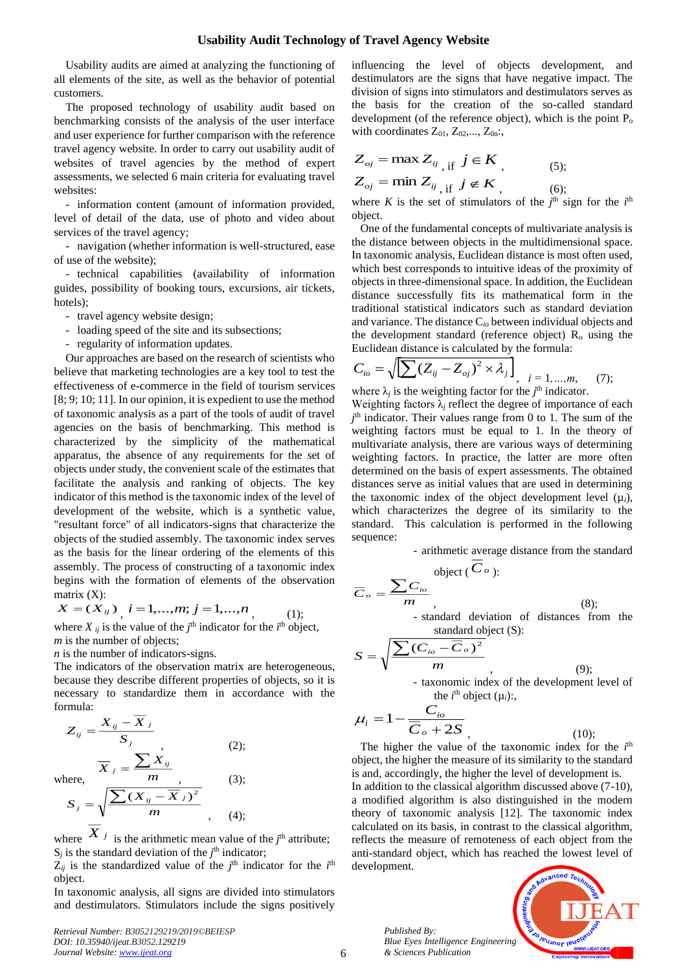## **Usability Audit Technology of Travel Agency Website**

Usability audits are aimed at analyzing the functioning of all elements of the site, as well as the behavior of potential customers.

The proposed technology of usability audit based on benchmarking consists of the analysis of the user interface and user experience for further comparison with the reference travel agency website. In order to carry out usability audit of websites of travel agencies by the method of expert assessments, we selected 6 main criteria for evaluating travel websites:

- information content (amount of information provided, level of detail of the data, use of photo and video about services of the travel agency;

- navigation (whether information is well-structured, ease of use of the website);

- technical capabilities (availability of information guides, possibility of booking tours, excursions, air tickets, hotels);

- travel agency website design;
- loading speed of the site and its subsections;
- regularity of information updates.

Our approaches are based on the research of scientists who believe that marketing technologies are a key tool to test the effectiveness of e-commerce in the field of tourism services [8; 9; 10; 11]. In our opinion, it is expedient to use the method of taxonomic analysis as a part of the tools of audit of travel agencies on the basis of benchmarking. This method is characterized by the simplicity of the mathematical apparatus, the absence of any requirements for the set of objects under study, the convenient scale of the estimates that facilitate the analysis and ranking of objects. The key indicator of this method is the taxonomic index of the level of development of the website, which is a synthetic value, "resultant force" of all indicators-signs that characterize the objects of the studied assembly. The taxonomic index serves as the basis for the linear ordering of the elements of this assembly. The process of constructing of a taxonomic index begins with the formation of elements of the observation matrix  $(X)$ :

$$
X = (X_{ij})_{i} i = 1,...,m; j = 1,...,n
$$
 (1);

where  $X_{ij}$  is the value of the  $j^{\text{th}}$  indicator for the  $i^{\text{th}}$  object, *m* is the number of objects;

*n* is the number of indicators-signs.

The indicators of the observation matrix are heterogeneous, because they describe different properties of objects, so it is necessary to standardize them in accordance with the formula:

$$
Z_{ij} = \frac{X_{ij} - X_j}{S_j},
$$
\n
$$
\overline{X}_j = \frac{\sum X_{ij}}{m},
$$
\n
$$
S_j = \sqrt{\frac{\sum (X_{ij} - \overline{X}_j)^2}{m}},
$$
\n
$$
\overline{Y}_j
$$
\n(3);\n
$$
\overline{Y}_j
$$
\n(4);

 $\overline{\mathbf{v}}$ 

where  $X_j$  is the arithmetic mean value of the  $j<sup>th</sup>$  attribute;  $S_j$  is the standard deviation of the  $j<sup>th</sup>$  indicator;

 $Z_{ij}$  is the standardized value of the  $j^{\text{th}}$  indicator for the  $i^{\text{th}}$ object.

In taxonomic analysis, all signs are divided into stimulators and destimulators. Stimulators include the signs positively

*Retrieval Number: B3052129219/2019©BEIESP DOI: 10.35940/ijeat.B3052.129219 Journal Website[: www.ijeat.org](http://www.ijeat.org/)*

influencing the level of objects development, and destimulators are the signs that have negative impact. The division of signs into stimulators and destimulators serves as the basis for the creation of the so-called standard development (of the reference object), which is the point  $P_0$ with coordinates  $Z_{01}$ ,  $Z_{02}$ ,...,  $Z_{0n}$ ;

$$
Z_{oj} = \max Z_{ij} \text{ if } j \in K
$$
  
\n
$$
Z_{oj} = \min Z_{ij} \text{ if } j \notin K
$$
  
\n(5);  
\n(6);

where *K* is the set of stimulators of the  $j<sup>th</sup>$  sign for the  $i<sup>th</sup>$ object.

 One of the fundamental concepts of multivariate analysis is the distance between objects in the multidimensional space. In taxonomic analysis, Euclidean distance is most often used, which best corresponds to intuitive ideas of the proximity of objects in three-dimensional space. In addition, the Euclidean distance successfully fits its mathematical form in the traditional statistical indicators such as standard deviation and variance. The distance C*io* between individual objects and the development standard (reference object)  $R_0$  using the Euclidean distance is calculated by the formula:

$$
C_{io} = \sqrt{\left[\sum (Z_{ij} - Z_{oj})^2 \times \lambda_j\right]}, \quad i = 1, ..., m,
$$
 (7);

where  $\lambda_j$  is the weighting factor for the  $j^{\text{th}}$  indicator.

Weighting factors  $\lambda_i$  reflect the degree of importance of each *j* th indicator. Their values range from 0 to 1. The sum of the weighting factors must be equal to 1. In the theory of multivariate analysis, there are various ways of determining weighting factors. In practice, the latter are more often determined on the basis of expert assessments. The obtained distances serve as initial values that are used in determining the taxonomic index of the object development level  $(\mu_i)$ , which characterizes the degree of its similarity to the standard. This calculation is performed in the following sequence:

> - arithmetic average distance from the standard object ( *C<sup>o</sup>* ):

$$
\overline{C}_o = \frac{\sum C_{io}}{m}
$$
\n- standard deviation of distances from the  
\nstandard object (S):\n
$$
\sum (\overline{C}_{io} - \overline{C}_o)^2
$$

$$
S = \sqrt{\frac{\sum (C_{io} - C_o)^2}{m}}
$$
,  
- taxonomic index of the development level of  
the *i*<sup>th</sup> object ( $\mu_i$ );

 $C_o + 2S$ *C o*  $i = 1 - \frac{C_{io}}{\overline{C}_o + 2}$ 1  $\mu_i = 1 - \frac{1}{\overline{C}_o + \overline{C}_o}$ , (10);

The higher the value of the taxonomic index for the  $i<sup>th</sup>$ object, the higher the measure of its similarity to the standard is and, accordingly, the higher the level of development is. In addition to the classical algorithm discussed above (7-10), a modified algorithm is also distinguished in the modern theory of taxonomic analysis [12]. The taxonomic index calculated on its basis, in contrast to the classical algorithm, reflects the measure of remoteness of each object from the anti-standard object, which has reached the lowest level of development.

> *Published By: Blue Eyes Intelligence Engineering & Sciences Publication*

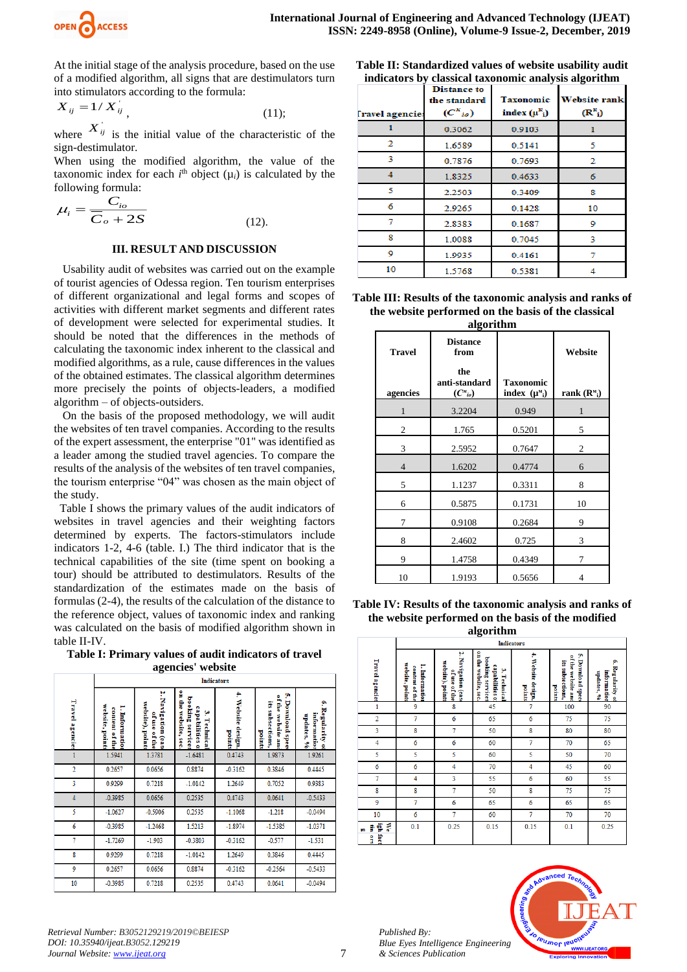

At the initial stage of the analysis procedure, based on the use of a modified algorithm, all signs that are destimulators turn into stimulators according to the formula:

$$
X_{ij} = 1/X_{ij}, \qquad (11);
$$

where  $X_{ij}$  is the initial value of the characteristic of the sign-destimulator.

When using the modified algorithm, the value of the taxonomic index for each  $i<sup>th</sup>$  object  $(\mu_i)$  is calculated by the following formula:

$$
\mu_i = \frac{C_{io}}{\overline{C}_o + 2S}
$$
 (12).

#### **III. RESULT AND DISCUSSION**

 Usability audit of websites was carried out on the example of tourist agencies of Odessa region. Ten tourism enterprises of different organizational and legal forms and scopes of activities with different market segments and different rates of development were selected for experimental studies. It should be noted that the differences in the methods of calculating the taxonomic index inherent to the classical and modified algorithms, as a rule, cause differences in the values of the obtained estimates. The classical algorithm determines more precisely the points of objects-leaders, a modified algorithm – of objects-outsiders.

 On the basis of the proposed methodology, we will audit the websites of ten travel companies. According to the results of the expert assessment, the enterprise "01" was identified as a leader among the studied travel agencies. To compare the results of the analysis of the websites of ten travel companies, the tourism enterprise "04" was chosen as the main object of the study.

 Table I shows the primary values of the audit indicators of websites in travel agencies and their weighting factors determined by experts. The factors-stimulators include indicators 1-2, 4-6 (table. I.) The third indicator that is the technical capabilities of the site (time spent on booking a tour) should be attributed to destimulators. Results of the standardization of the estimates made on the basis of formulas (2-4), the results of the calculation of the distance to the reference object, values of taxonomic index and ranking was calculated on the basis of modified algorithm shown in table II-IV.

| Table I: Primary values of audit indicators of travel |                   |  |
|-------------------------------------------------------|-------------------|--|
|                                                       | agencies' website |  |

|                 | ---------<br><b>Indicators</b>                     |                                                           |                                                                            |                              |                                                                           |                                                |
|-----------------|----------------------------------------------------|-----------------------------------------------------------|----------------------------------------------------------------------------|------------------------------|---------------------------------------------------------------------------|------------------------------------------------|
| Travel agencie: | website, points<br>1. Informatio<br>content of the | ٢<br>Navigation (eas<br>website), points<br>of use of the | on the website, sec<br>booking services<br>capabilities o<br>۳<br>Technica | 4. Website design,<br>points | y,<br>of the<br>Download spee<br>its subsections,<br>website an<br>points | ۹<br>Regularity o<br>information<br>updates, % |
| 1               | 1.5941                                             | 1.3781                                                    | $-1.6481$                                                                  | 0.4743                       | 1.9873                                                                    | 1.9261                                         |
| $\overline{2}$  | 0.2657                                             | 0.0656                                                    | 0.8874                                                                     | $-0.3162$                    | 0.3846                                                                    | 0.4445                                         |
| 3               | 0.9299                                             | 0.7218                                                    | $-1.0142$                                                                  | 1.2649                       | 0.7052                                                                    | 0.9383                                         |
| 4               | $-0.3985$                                          | 0.0656                                                    | 0.2535                                                                     | 0.4743                       | 0.0641                                                                    | $-0.5433$                                      |
| 5               | $-1.0627$                                          | $-0.5906$                                                 | 0.2535                                                                     | $-1.1068$                    | $-1.218$                                                                  | $-0.0494$                                      |
| 6               | $-0.3985$                                          | $-1.2468$                                                 | 1.5213                                                                     | $-1.8974$                    | $-1.5385$                                                                 | $-1.0371$                                      |
| 7               | $-1.7269$                                          | $-1.903$                                                  | $-0.3803$                                                                  | $-0.3162$                    | $-0.577$                                                                  | $-1.531$                                       |
| 8               | 0.9299                                             | 0.7218                                                    | $-1.0142$                                                                  | 1.2649                       | 0.3846                                                                    | 0.4445                                         |
| 9               | 0.2657                                             | 0.0656                                                    | 0.8874                                                                     | $-0.3162$                    | $-0.2564$                                                                 | $-0.5433$                                      |
| 10              | $-0.3985$                                          | 0.7218                                                    | 0.2535                                                                     | 0.4743                       | 0.0641                                                                    | $-0.0494$                                      |

**Table II: Standardized values of website usability audit indicators by classical taxonomic analysis algorithm**

| <b>Travel agencie:</b> | <b>Distance to</b><br>the standard<br>$(C^{k}_{i\sigma})$ | <b>Taxonomic</b><br>index $(\mu^k_i)$ | <b>Website rank</b><br>$(\mathbb{R}^k)$ |  |
|------------------------|-----------------------------------------------------------|---------------------------------------|-----------------------------------------|--|
|                        | 0.3062                                                    | 0.9103                                |                                         |  |
| 2                      | 1.6589                                                    | 0.5141                                | 5                                       |  |
| 3                      | 0.7876                                                    | 0.7693                                | 2                                       |  |
| Δ                      | 1.8325                                                    | 0.4633                                | 6                                       |  |
| 5                      | 2.2503                                                    | 0.3409                                | 8                                       |  |
| 6                      | 2.9265                                                    | 0.1428                                | 10                                      |  |
| 7                      | 2.8383                                                    | 0.1687                                | 9                                       |  |
| 8                      | 1.0088                                                    | 0.7045                                | 3                                       |  |
| 9                      | 1.9935                                                    | 0.4161                                |                                         |  |
| 10                     | 1.5768                                                    | 0.5381                                |                                         |  |

| Table III: Results of the taxonomic analysis and ranks of |  |  |  |  |  |
|-----------------------------------------------------------|--|--|--|--|--|
| the website performed on the basis of the classical       |  |  |  |  |  |
| alaasithsa                                                |  |  |  |  |  |

| argor numi     |                                                 |                  |                |  |  |
|----------------|-------------------------------------------------|------------------|----------------|--|--|
| <b>Travel</b>  | <b>Distance</b><br>from<br>the<br>anti-standard | <b>Taxonomic</b> | Website        |  |  |
| agencies       | $(C^{\mathsf{M}}_{io})$                         | index $(\mu^M)$  | rank $(R_{i})$ |  |  |
| 1              | 3.2204                                          | 0.949            | 1              |  |  |
| $\overline{c}$ | 1.765                                           | 0.5201           | 5              |  |  |
| 3              | 2.5952                                          | 0.7647           | $\mathfrak{2}$ |  |  |
| $\overline{4}$ | 1.6202                                          | 0.4774           | 6              |  |  |
| 5              | 1.1237                                          | 0.3311           | 8              |  |  |
| 6              | 0.5875                                          | 0.1731           | 10             |  |  |
| 7              | 0.9108                                          | 0.2684           | 9              |  |  |
| 8              | 2.4602                                          | 0.725            | 3              |  |  |
| 9              | 1.4758                                          | 0.4349           | 7              |  |  |
| 10             | 1.9193                                          | 0.5656           | 4              |  |  |



| algorithm                      |                                                    |                                                         |                                                                          |                              |                                                                      |                                              |
|--------------------------------|----------------------------------------------------|---------------------------------------------------------|--------------------------------------------------------------------------|------------------------------|----------------------------------------------------------------------|----------------------------------------------|
|                                | <b>Indicators</b>                                  |                                                         |                                                                          |                              |                                                                      |                                              |
| Travel agencies                | website, point<br>1. Information<br>content of the | 2. Navigation (eas<br>website), points<br>of use of the | on the website, sec<br>booking services<br>capabilities o<br>3. Technica | 4. Website design,<br>points | 5. Download spee<br>of the website and<br>its subsections,<br>points | 6. Regularity o<br>information<br>updates, % |
| $\mathbf{1}$                   | 9                                                  | 8                                                       | 45                                                                       | $\overline{7}$               | 100                                                                  | 90                                           |
| $\overline{2}$                 | $\overline{7}$                                     | 6                                                       | 65                                                                       | 6                            | 75                                                                   | 75                                           |
| 3                              | 8                                                  | $\overline{7}$                                          | 50                                                                       | 8                            | 80                                                                   | 80                                           |
| 4                              | 6                                                  | 6                                                       | 60                                                                       | $\overline{7}$               | 70                                                                   | 65                                           |
| 5                              | 5                                                  | 5                                                       | 60                                                                       | 5                            | 50                                                                   | 70                                           |
| 6                              | 6                                                  | 4                                                       | 70                                                                       | 4                            | 45                                                                   | 60                                           |
| $\overline{7}$                 | 4                                                  | 3                                                       | 55                                                                       | 6                            | 60                                                                   | 55                                           |
| 8                              | 8                                                  | $\overline{7}$                                          | 50                                                                       | 8                            | 75                                                                   | 75                                           |
| 9                              | $\overline{7}$                                     | 6                                                       | 65                                                                       | 6                            | 65                                                                   | 65                                           |
| 10                             | 6                                                  | $\overline{7}$                                          | 60                                                                       | $\overline{7}$               | 70                                                                   | 70                                           |
| We<br>ç.<br>g<br>œ<br>fac<br>ę | 0.1                                                | 0.25                                                    | 0.15                                                                     | 0.15                         | 0.1                                                                  | 0.25                                         |

*Published By: Blue Eyes Intelligence Engineering & Sciences Publication*